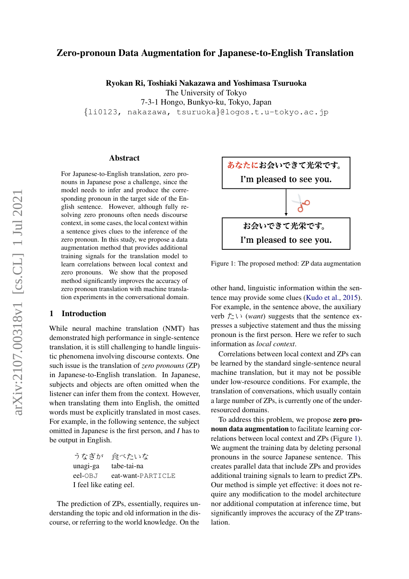# Zero-pronoun Data Augmentation for Japanese-to-English Translation

Ryokan Ri, Toshiaki Nakazawa and Yoshimasa Tsuruoka

The University of Tokyo

7-3-1 Hongo, Bunkyo-ku, Tokyo, Japan

{li0123, nakazawa, tsuruoka}@logos.t.u-tokyo.ac.jp

### Abstract

For Japanese-to-English translation, zero pronouns in Japanese pose a challenge, since the model needs to infer and produce the corresponding pronoun in the target side of the English sentence. However, although fully resolving zero pronouns often needs discourse context, in some cases, the local context within a sentence gives clues to the inference of the zero pronoun. In this study, we propose a data augmentation method that provides additional training signals for the translation model to learn correlations between local context and zero pronouns. We show that the proposed method significantly improves the accuracy of zero pronoun translation with machine translation experiments in the conversational domain.

## 1 Introduction

While neural machine translation (NMT) has demonstrated high performance in single-sentence translation, it is still challenging to handle linguistic phenomena involving discourse contexts. One such issue is the translation of *zero pronouns* (ZP) in Japanese-to-English translation. In Japanese, subjects and objects are often omitted when the listener can infer them from the context. However, when translating them into English, the omitted words must be explicitly translated in most cases. For example, in the following sentence, the subject omitted in Japanese is the first person, and *I* has to be output in English.

> うなぎが 食べたいな unagi-ga tabe-tai-na eel-OBJ eat-want-PARTICLE I feel like eating eel.

The prediction of ZPs, essentially, requires understanding the topic and old information in the discourse, or referring to the world knowledge. On the

<span id="page-0-0"></span>

Figure 1: The proposed method: ZP data augmentation

other hand, linguistic information within the sentence may provide some clues [\(Kudo et al.,](#page-4-0) [2015\)](#page-4-0). For example, in the sentence above, the auxiliary verb たい (*want*) suggests that the sentence expresses a subjective statement and thus the missing pronoun is the first person. Here we refer to such information as *local context*.

Correlations between local context and ZPs can be learned by the standard single-sentence neural machine translation, but it may not be possible under low-resource conditions. For example, the translation of conversations, which usually contain a large number of ZPs, is currently one of the underresourced domains.

To address this problem, we propose zero pronoun data augmentation to facilitate learning correlations between local context and ZPs (Figure [1\)](#page-0-0). We augment the training data by deleting personal pronouns in the source Japanese sentence. This creates parallel data that include ZPs and provides additional training signals to learn to predict ZPs. Our method is simple yet effective: it does not require any modification to the model architecture nor additional computation at inference time, but significantly improves the accuracy of the ZP translation.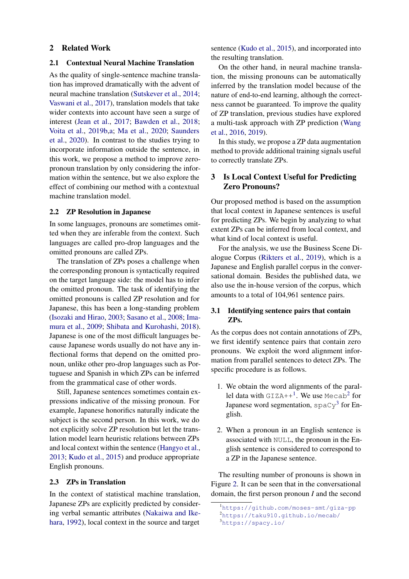### 2 Related Work

### 2.1 Contextual Neural Machine Translation

As the quality of single-sentence machine translation has improved dramatically with the advent of neural machine translation [\(Sutskever et al.,](#page-4-1) [2014;](#page-4-1) [Vaswani et al.,](#page-4-2) [2017\)](#page-4-2), translation models that take wider contexts into account have seen a surge of interest [\(Jean et al.,](#page-4-3) [2017;](#page-4-3) [Bawden et al.,](#page-4-4) [2018;](#page-4-4) [Voita et al.,](#page-4-5) [2019b,](#page-4-5)[a;](#page-4-6) [Ma et al.,](#page-4-7) [2020;](#page-4-7) [Saunders](#page-4-8) [et al.,](#page-4-8) [2020\)](#page-4-8). In contrast to the studies trying to incorporate information outside the sentence, in this work, we propose a method to improve zeropronoun translation by only considering the information within the sentence, but we also explore the effect of combining our method with a contextual machine translation model.

#### 2.2 ZP Resolution in Japanese

In some languages, pronouns are sometimes omitted when they are inferable from the context. Such languages are called pro-drop languages and the omitted pronouns are called ZPs.

The translation of ZPs poses a challenge when the corresponding pronoun is syntactically required on the target language side: the model has to infer the omitted pronoun. The task of identifying the omitted pronouns is called ZP resolution and for Japanese, this has been a long-standing problem [\(Isozaki and Hirao,](#page-4-9) [2003;](#page-4-9) [Sasano et al.,](#page-4-10) [2008;](#page-4-10) [Ima](#page-4-11)[mura et al.,](#page-4-11) [2009;](#page-4-11) [Shibata and Kurohashi,](#page-4-12) [2018\)](#page-4-12). Japanese is one of the most difficult languages because Japanese words usually do not have any inflectional forms that depend on the omitted pronoun, unlike other pro-drop languages such as Portuguese and Spanish in which ZPs can be inferred from the grammatical case of other words.

Still, Japanese sentences sometimes contain expressions indicative of the missing pronoun. For example, Japanese honorifics naturally indicate the subject is the second person. In this work, we do not explicitly solve ZP resolution but let the translation model learn heuristic relations between ZPs and local context within the sentence [\(Hangyo et al.,](#page-4-13) [2013;](#page-4-13) [Kudo et al.,](#page-4-0) [2015\)](#page-4-0) and produce appropriate English pronouns.

## 2.3 ZPs in Translation

In the context of statistical machine translation, Japanese ZPs are explicitly predicted by considering verbal semantic attributes [\(Nakaiwa and Ike](#page-4-14)[hara,](#page-4-14) [1992\)](#page-4-14), local context in the source and target sentence [\(Kudo et al.,](#page-4-0) [2015\)](#page-4-0), and incorporated into the resulting translation.

On the other hand, in neural machine translation, the missing pronouns can be automatically inferred by the translation model because of the nature of end-to-end learning, although the correctness cannot be guaranteed. To improve the quality of ZP translation, previous studies have explored a multi-task approach with ZP prediction [\(Wang](#page-5-0) [et al.,](#page-5-0) [2016,](#page-5-0) [2019\)](#page-4-15).

In this study, we propose a ZP data augmentation method to provide additional training signals useful to correctly translate ZPs.

# 3 Is Local Context Useful for Predicting Zero Pronouns?

Our proposed method is based on the assumption that local context in Japanese sentences is useful for predicting ZPs. We begin by analyzing to what extent ZPs can be inferred from local context, and what kind of local context is useful.

For the analysis, we use the Business Scene Dialogue Corpus [\(Rikters et al.,](#page-4-16) [2019\)](#page-4-16), which is a Japanese and English parallel corpus in the conversational domain. Besides the published data, we also use the in-house version of the corpus, which amounts to a total of 104,961 sentence pairs.

### 3.1 Identifying sentence pairs that contain ZPs.

As the corpus does not contain annotations of ZPs, we first identify sentence pairs that contain zero pronouns. We exploit the word alignment information from parallel sentences to detect ZPs. The specific procedure is as follows.

- 1. We obtain the word alignments of the parallel data with  $GIZA++^1$  $GIZA++^1$ . We use Mecab<sup>[2](#page-1-1)</sup> for Japanese word segmentation,  $\text{spaCy}^3$  $\text{spaCy}^3$  for English.
- 2. When a pronoun in an English sentence is associated with NULL, the pronoun in the English sentence is considered to correspond to a ZP in the Japanese sentence.

The resulting number of pronouns is shown in Figure [2.](#page-2-0) It can be seen that in the conversational domain, the first person pronoun *I* and the second

<span id="page-1-0"></span><sup>1</sup><https://github.com/moses-smt/giza-pp>

<span id="page-1-1"></span><sup>2</sup><https://taku910.github.io/mecab/>

<span id="page-1-2"></span><sup>3</sup><https://spacy.io/>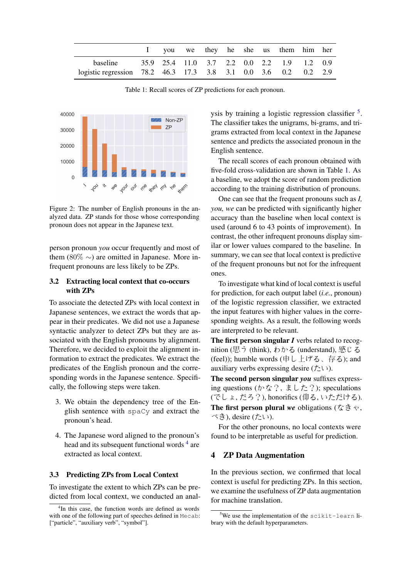<span id="page-2-3"></span>

|                                                                |  |  |  | I you we they he she us them him her |  |
|----------------------------------------------------------------|--|--|--|--------------------------------------|--|
| baseline 35.9 25.4 11.0 3.7 2.2 0.0 2.2 1.9 1.2 0.9            |  |  |  |                                      |  |
| logistic regression 78.2 46.3 17.3 3.8 3.1 0.0 3.6 0.2 0.2 2.9 |  |  |  |                                      |  |

Table 1: Recall scores of ZP predictions for each pronoun.

<span id="page-2-0"></span>

Figure 2: The number of English pronouns in the analyzed data. ZP stands for those whose corresponding pronoun does not appear in the Japanese text.

person pronoun *you* occur frequently and most of them (80%  $\sim$ ) are omitted in Japanese. More infrequent pronouns are less likely to be ZPs.

# 3.2 Extracting local context that co-occurs with ZPs

To associate the detected ZPs with local context in Japanese sentences, we extract the words that appear in their predicates. We did not use a Japanese syntactic analyzer to detect ZPs but they are associated with the English pronouns by alignment. Therefore, we decided to exploit the alignment information to extract the predicates. We extract the predicates of the English pronoun and the corresponding words in the Japanese sentence. Specifically, the following steps were taken.

- 3. We obtain the dependency tree of the English sentence with spaCy and extract the pronoun's head.
- 4. The Japanese word aligned to the pronoun's head and its subsequent functional words <sup>[4](#page-2-1)</sup> are extracted as local context.

### 3.3 Predicting ZPs from Local Context

To investigate the extent to which ZPs can be predicted from local context, we conducted an anal-

ysis by training a logistic regression classifier <sup>[5](#page-2-2)</sup>. The classifier takes the unigrams, bi-grams, and trigrams extracted from local context in the Japanese sentence and predicts the associated pronoun in the English sentence.

The recall scores of each pronoun obtained with five-fold cross-validation are shown in Table [1.](#page-2-3) As a baseline, we adopt the score of random prediction according to the training distribution of pronouns.

One can see that the frequent pronouns such as *I, you, we* can be predicted with significantly higher accuracy than the baseline when local context is used (around 6 to 43 points of improvement). In contrast, the other infrequent pronouns display similar or lower values compared to the baseline. In summary, we can see that local context is predictive of the frequent pronouns but not for the infrequent ones.

To investigate what kind of local context is useful for prediction, for each output label (*i.e.*, pronoun) of the logistic regression classifier, we extracted the input features with higher values in the corresponding weights. As a result, the following words are interpreted to be relevant.

The first person singular *I* verbs related to recognition (思う (think), わかる (understand), 感じる (feel)); humble words (申し上げる、存る); and auxiliary verbs expressing desire  $(2\ell)\$ .

The second person singular *you* suffixes expressing questions  $(b \Delta \hat{z})$ ,  $\ddagger$   $(b \Delta \hat{z})$ ; speculations (でしょ, だろ?), honorifics (仰る, いただける). The first person plural *we* obligations (なきゃ, べき), desire (たい).

For the other pronouns, no local contexts were found to be interpretable as useful for prediction.

## 4 ZP Data Augmentation

In the previous section, we confirmed that local context is useful for predicting ZPs. In this section, we examine the usefulness of ZP data augmentation for machine translation.

<span id="page-2-1"></span><sup>4</sup> In this case, the function words are defined as words with one of the following part of speeches defined in Mecab: ["particle", "auxiliary verb", "symbol"].

<span id="page-2-2"></span> $5$ We use the implementation of the scikit-learn library with the default hyperparameters.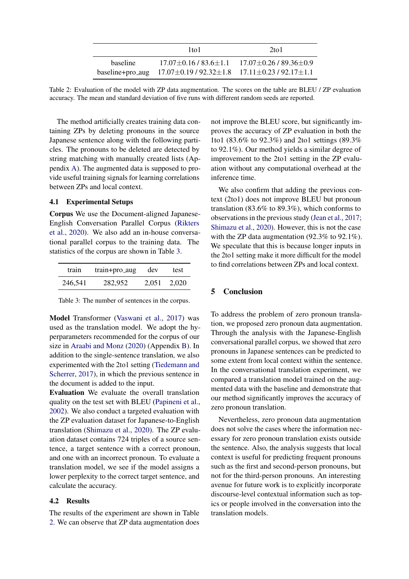<span id="page-3-1"></span>

|                 | $1$ to $1$                                                                         | $2$ to 1                                             |
|-----------------|------------------------------------------------------------------------------------|------------------------------------------------------|
| <b>baseline</b> |                                                                                    | $17.07\pm0.16/83.6\pm1.1$ $17.07\pm0.26/89.36\pm0.9$ |
|                 | baseline+pro_aug $17.07 \pm 0.19 / 92.32 \pm 1.8$ $17.11 \pm 0.23 / 92.17 \pm 1.1$ |                                                      |

Table 2: Evaluation of the model with ZP data augmentation. The scores on the table are BLEU / ZP evaluation accuracy. The mean and standard deviation of five runs with different random seeds are reported.

The method artificially creates training data containing ZPs by deleting pronouns in the source Japanese sentence along with the following particles. The pronouns to be deleted are detected by string matching with manually created lists (Appendix [A\)](#page-6-0). The augmented data is supposed to provide useful training signals for learning correlations between ZPs and local context.

### 4.1 Experimental Setups

Corpus We use the Document-aligned Japanese-English Conversation Parallel Corpus [\(Rikters](#page-4-17) [et al.,](#page-4-17) [2020\)](#page-4-17). We also add an in-house conversational parallel corpus to the training data. The statistics of the corpus are shown in Table [3.](#page-3-0)

<span id="page-3-0"></span>

| train   | train+pro_aug | dev | test        |
|---------|---------------|-----|-------------|
| 246,541 | 282,952       |     | 2.051 2.020 |

Table 3: The number of sentences in the corpus.

Model Transformer [\(Vaswani et al.,](#page-4-2) [2017\)](#page-4-2) was used as the translation model. We adopt the hyperparameters recommended for the corpus of our size in [Araabi and Monz](#page-4-18) [\(2020\)](#page-4-18) (Appendix [B\)](#page-6-1). In addition to the single-sentence translation, we also experimented with the 2to1 setting [\(Tiedemann and](#page-4-19) [Scherrer,](#page-4-19) [2017\)](#page-4-19), in which the previous sentence in the document is added to the input.

Evaluation We evaluate the overall translation quality on the test set with BLEU [\(Papineni et al.,](#page-4-20) [2002\)](#page-4-20). We also conduct a targeted evaluation with the ZP evaluation dataset for Japanese-to-English translation [\(Shimazu et al.,](#page-4-21) [2020\)](#page-4-21). The ZP evaluation dataset contains 724 triples of a source sentence, a target sentence with a correct pronoun, and one with an incorrect pronoun. To evaluate a translation model, we see if the model assigns a lower perplexity to the correct target sentence, and calculate the accuracy.

### 4.2 Results

The results of the experiment are shown in Table [2.](#page-3-1) We can observe that ZP data augmentation does not improve the BLEU score, but significantly improves the accuracy of ZP evaluation in both the 1to1 (83.6% to 92.3%) and 2to1 settings (89.3% to 92.1%). Our method yields a similar degree of improvement to the 2to1 setting in the ZP evaluation without any computational overhead at the inference time.

We also confirm that adding the previous context (2to1) does not improve BLEU but pronoun translation (83.6% to 89.3%), which conforms to observations in the previous study [\(Jean et al.,](#page-4-3) [2017;](#page-4-3) [Shimazu et al.,](#page-4-21) [2020\)](#page-4-21). However, this is not the case with the ZP data augmentation (92.3% to 92.1%). We speculate that this is because longer inputs in the 2to1 setting make it more difficult for the model to find correlations between ZPs and local context.

## 5 Conclusion

To address the problem of zero pronoun translation, we proposed zero pronoun data augmentation. Through the analysis with the Japanese-English conversational parallel corpus, we showed that zero pronouns in Japanese sentences can be predicted to some extent from local context within the sentence. In the conversational translation experiment, we compared a translation model trained on the augmented data with the baseline and demonstrate that our method significantly improves the accuracy of zero pronoun translation.

Nevertheless, zero pronoun data augmentation does not solve the cases where the information necessary for zero pronoun translation exists outside the sentence. Also, the analysis suggests that local context is useful for predicting frequent pronouns such as the first and second-person pronouns, but not for the third-person pronouns. An interesting avenue for future work is to explicitly incorporate discourse-level contextual information such as topics or people involved in the conversation into the translation models.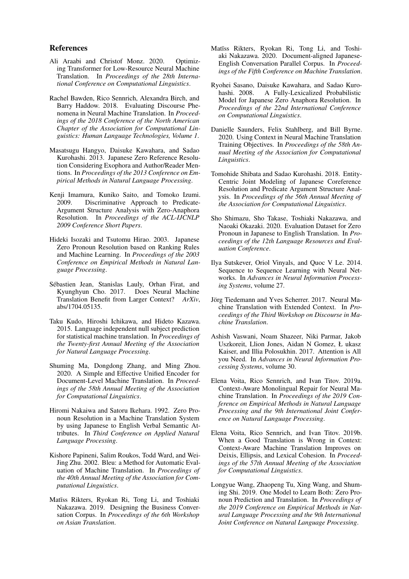### References

- <span id="page-4-18"></span>Ali Araabi and Christof Monz. 2020. Optimizing Transformer for Low-Resource Neural Machine Translation. In *Proceedings of the 28th International Conference on Computational Linguistics*.
- <span id="page-4-4"></span>Rachel Bawden, Rico Sennrich, Alexandra Birch, and Barry Haddow. 2018. Evaluating Discourse Phenomena in Neural Machine Translation. In *Proceedings of the 2018 Conference of the North American Chapter of the Association for Computational Linguistics: Human Language Technologies, Volume 1*.
- <span id="page-4-13"></span>Masatsugu Hangyo, Daisuke Kawahara, and Sadao Kurohashi. 2013. Japanese Zero Reference Resolution Considering Exophora and Author/Reader Mentions. In *Proceedings of the 2013 Conference on Empirical Methods in Natural Language Processing*.
- <span id="page-4-11"></span>Kenji Imamura, Kuniko Saito, and Tomoko Izumi. 2009. Discriminative Approach to Predicate-Argument Structure Analysis with Zero-Anaphora Resolution. In *Proceedings of the ACL-IJCNLP 2009 Conference Short Papers*.
- <span id="page-4-9"></span>Hideki Isozaki and Tsutomu Hirao. 2003. Japanese Zero Pronoun Resolution based on Ranking Rules and Machine Learning. In *Proceedings of the 2003 Conference on Empirical Methods in Natural Language Processing*.
- <span id="page-4-3"></span>Sebastien Jean, Stanislas Lauly, Orhan Firat, and ´ Kyunghyun Cho. 2017. Does Neural Machine Translation Benefit from Larger Context? *ArXiv*, abs/1704.05135.
- <span id="page-4-0"></span>Taku Kudo, Hiroshi Ichikawa, and Hideto Kazawa. 2015. Language independent null subject prediction for statistical machine translation. In *Proceedings of the Twenty-first Annual Meeting of the Association for Natural Language Processing*.
- <span id="page-4-7"></span>Shuming Ma, Dongdong Zhang, and Ming Zhou. 2020. A Simple and Effective Unified Encoder for Document-Level Machine Translation. In *Proceedings of the 58th Annual Meeting of the Association for Computational Linguistics*.
- <span id="page-4-14"></span>Hiromi Nakaiwa and Satoru Ikehara. 1992. Zero Pronoun Resolution in a Machine Translation System by using Japanese to English Verbal Semantic Attributes. In *Third Conference on Applied Natural Language Processing*.
- <span id="page-4-20"></span>Kishore Papineni, Salim Roukos, Todd Ward, and Wei-Jing Zhu. 2002. Bleu: a Method for Automatic Evaluation of Machine Translation. In *Proceedings of the 40th Annual Meeting of the Association for Computational Linguistics*.
- <span id="page-4-16"></span>Matīss Rikters, Ryokan Ri, Tong Li, and Toshiaki Nakazawa. 2019. Designing the Business Conversation Corpus. In *Proceedings of the 6th Workshop on Asian Translation*.
- <span id="page-4-17"></span>Matīss Rikters, Ryokan Ri, Tong Li, and Toshiaki Nakazawa. 2020. Document-aligned Japanese-English Conversation Parallel Corpus. In *Proceedings of the Fifth Conference on Machine Translation*.
- <span id="page-4-10"></span>Ryohei Sasano, Daisuke Kawahara, and Sadao Kurohashi. 2008. A Fully-Lexicalized Probabilistic Model for Japanese Zero Anaphora Resolution. In *Proceedings of the 22nd International Conference on Computational Linguistics*.
- <span id="page-4-8"></span>Danielle Saunders, Felix Stahlberg, and Bill Byrne. 2020. Using Context in Neural Machine Translation Training Objectives. In *Proceedings of the 58th Annual Meeting of the Association for Computational Linguistics*.
- <span id="page-4-12"></span>Tomohide Shibata and Sadao Kurohashi. 2018. Entity-Centric Joint Modeling of Japanese Coreference Resolution and Predicate Argument Structure Analysis. In *Proceedings of the 56th Annual Meeting of the Association for Computational Linguistics*.
- <span id="page-4-21"></span>Sho Shimazu, Sho Takase, Toshiaki Nakazawa, and Naoaki Okazaki. 2020. Evaluation Dataset for Zero Pronoun in Japanese to English Translation. In *Proceedings of the 12th Language Resources and Evaluation Conference*.
- <span id="page-4-1"></span>Ilya Sutskever, Oriol Vinyals, and Quoc V Le. 2014. Sequence to Sequence Learning with Neural Networks. In *Advances in Neural Information Processing Systems*, volume 27.
- <span id="page-4-19"></span>Jörg Tiedemann and Yves Scherrer. 2017. Neural Machine Translation with Extended Context. In *Proceedings of the Third Workshop on Discourse in Machine Translation*.
- <span id="page-4-2"></span>Ashish Vaswani, Noam Shazeer, Niki Parmar, Jakob Uszkoreit, Llion Jones, Aidan N Gomez, Ł ukasz Kaiser, and Illia Polosukhin. 2017. Attention is All you Need. In *Advances in Neural Information Processing Systems*, volume 30.
- <span id="page-4-6"></span>Elena Voita, Rico Sennrich, and Ivan Titov. 2019a. Context-Aware Monolingual Repair for Neural Machine Translation. In *Proceedings of the 2019 Conference on Empirical Methods in Natural Language Processing and the 9th International Joint Conference on Natural Language Processing*.
- <span id="page-4-5"></span>Elena Voita, Rico Sennrich, and Ivan Titov. 2019b. When a Good Translation is Wrong in Context: Context-Aware Machine Translation Improves on Deixis, Ellipsis, and Lexical Cohesion. In *Proceedings of the 57th Annual Meeting of the Association for Computational Linguistics*.
- <span id="page-4-15"></span>Longyue Wang, Zhaopeng Tu, Xing Wang, and Shuming Shi. 2019. One Model to Learn Both: Zero Pronoun Prediction and Translation. In *Proceedings of the 2019 Conference on Empirical Methods in Natural Language Processing and the 9th International Joint Conference on Natural Language Processing*.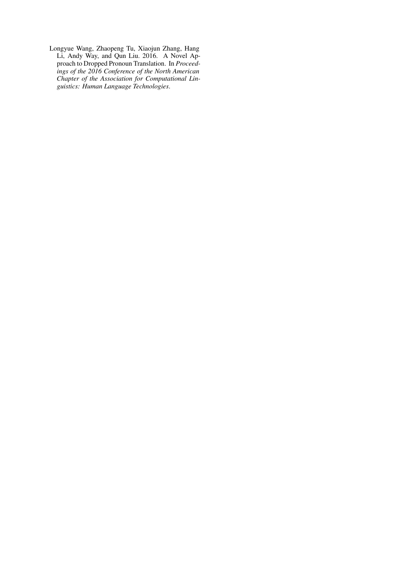<span id="page-5-0"></span>Longyue Wang, Zhaopeng Tu, Xiaojun Zhang, Hang Li, Andy Way, and Qun Liu. 2016. A Novel Approach to Dropped Pronoun Translation. In *Proceedings of the 2016 Conference of the North American Chapter of the Association for Computational Linguistics: Human Language Technologies*.